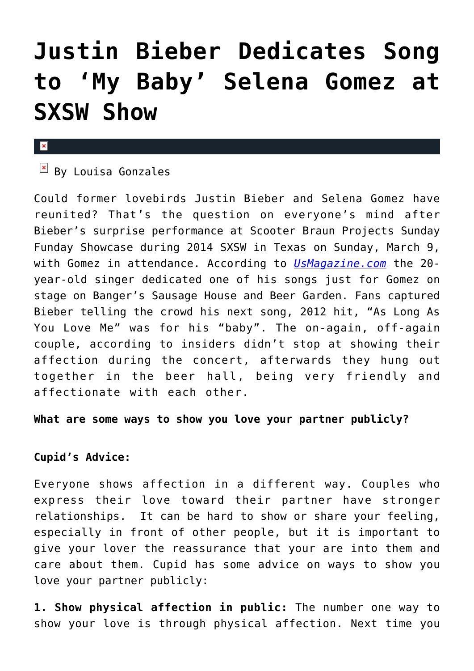## **[Justin Bieber Dedicates Song](https://cupidspulse.com/71764/justin-bieber-dedicates-song-selena-gomez-sxsw-show/) [to 'My Baby' Selena Gomez at](https://cupidspulse.com/71764/justin-bieber-dedicates-song-selena-gomez-sxsw-show/) [SXSW Show](https://cupidspulse.com/71764/justin-bieber-dedicates-song-selena-gomez-sxsw-show/)**

## $\mathbf x$

 $\boxed{\times}$  By Louisa Gonzales

Could former lovebirds Justin Bieber and Selena Gomez have reunited? That's the question on everyone's mind after Bieber's surprise performance at Scooter Braun Projects Sunday Funday Showcase during 2014 SXSW in Texas on Sunday, March 9, with Gomez in attendance. According to *[UsMagazine.com](http://www.usmagazine.com/celebrity-news/news/justin-bieber-dedicates-song-selena-gomez-sxsw-show-2014103)* the 20 year-old singer dedicated one of his songs just for Gomez on stage on Banger's Sausage House and Beer Garden. Fans captured Bieber telling the crowd his next song, 2012 hit, "As Long As You Love Me" was for his "baby". The on-again, off-again couple, according to insiders didn't stop at showing their affection during the concert, afterwards they hung out together in the beer hall, being very friendly and affectionate with each other.

**What are some ways to show you love your partner publicly?**

## **Cupid's Advice:**

Everyone shows affection in a different way. Couples who express their love toward their partner have stronger relationships. It can be hard to show or share your feeling, especially in front of other people, but it is important to give your lover the reassurance that your are into them and care about them. Cupid has some advice on ways to show you love your partner publicly:

**1. Show physical affection in public:** The number one way to show your love is through physical affection. Next time you